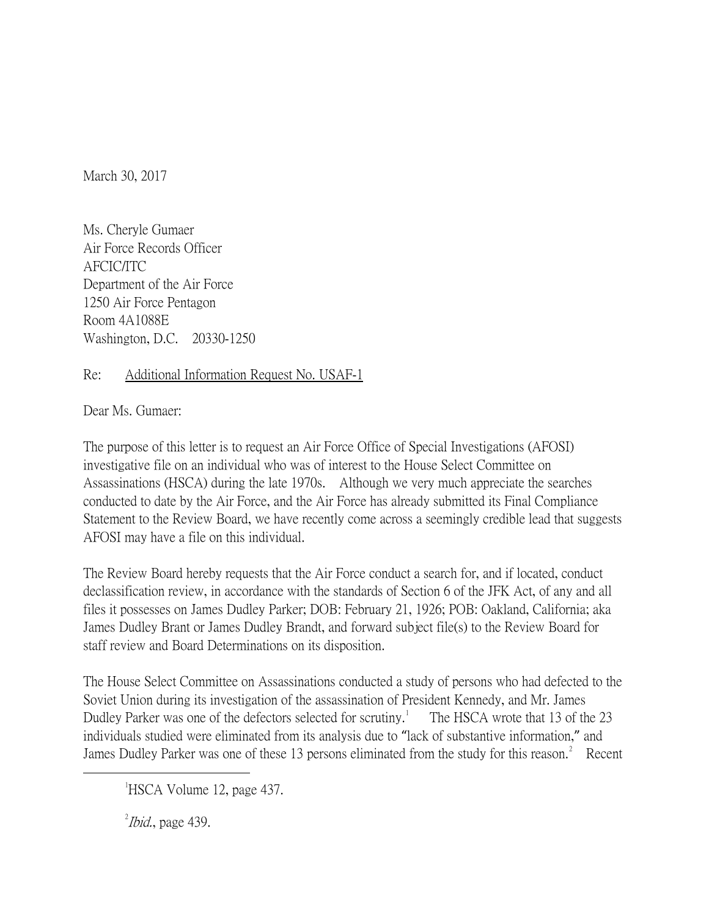March 30, 2017

Ms. Cheryle Gumaer Air Force Records Officer AFCIC/ITC Department of the Air Force 1250 Air Force Pentagon Room 4A1088E Washington, D.C. 20330-1250

## Re: Additional Information Request No. USAF-1

Dear Ms. Gumaer:

The purpose of this letter is to request an Air Force Office of Special Investigations (AFOSI) investigative file on an individual who was of interest to the House Select Committee on Assassinations (HSCA) during the late 1970s. Although we very much appreciate the searches conducted to date by the Air Force, and the Air Force has already submitted its Final Compliance Statement to the Review Board, we have recently come across a seemingly credible lead that suggests AFOSI may have a file on this individual.

The Review Board hereby requests that the Air Force conduct a search for, and if located, conduct declassification review, in accordance with the standards of Section 6 of the JFK Act, of any and all files it possesses on James Dudley Parker; DOB: February 21, 1926; POB: Oakland, California; aka James Dudley Brant or James Dudley Brandt, and forward subject file(s) to the Review Board for staff review and Board Determinations on its disposition.

The House Select Committee on Assassinations conducted a study of persons who had defected to the Soviet Union during its investigation of the assassination of President Kennedy, and Mr. James Dudley Parker was one of the defectors selected for scrutiny.<sup>[1](#page-0-0)</sup> The HSCA wrote that 13 of the 23 individuals studied were eliminated from its analysis due to "lack of substantive information," and James Dudley Parker was one of these 13 persons eliminated from the study for this reason.<sup>[2](#page-0-1)</sup> Recent

 $\alpha^2$ *Ibid.*, page 439.

<span id="page-0-1"></span><span id="page-0-0"></span> $\overline{\phantom{a}}$ <sup>1</sup>HSCA Volume 12, page 437.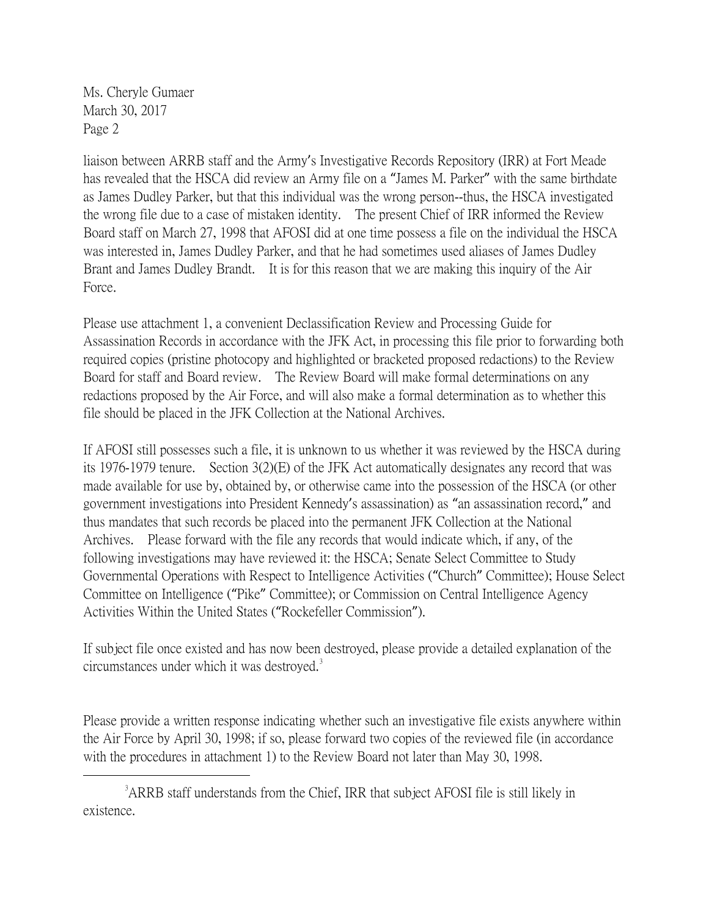Ms. Cheryle Gumaer March 30, 2017 Page 2

liaison between ARRB staff and the Army's Investigative Records Repository (IRR) at Fort Meade has revealed that the HSCA did review an Army file on a "James M. Parker" with the same birthdate as James Dudley Parker, but that this individual was the wrong person--thus, the HSCA investigated the wrong file due to a case of mistaken identity. The present Chief of IRR informed the Review Board staff on March 27, 1998 that AFOSI did at one time possess a file on the individual the HSCA was interested in, James Dudley Parker, and that he had sometimes used aliases of James Dudley Brant and James Dudley Brandt. It is for this reason that we are making this inquiry of the Air Force.

Please use attachment 1, a convenient Declassification Review and Processing Guide for Assassination Records in accordance with the JFK Act, in processing this file prior to forwarding both required copies (pristine photocopy and highlighted or bracketed proposed redactions) to the Review Board for staff and Board review. The Review Board will make formal determinations on any redactions proposed by the Air Force, and will also make a formal determination as to whether this file should be placed in the JFK Collection at the National Archives.

If AFOSI still possesses such a file, it is unknown to us whether it was reviewed by the HSCA during its 1976-1979 tenure. Section 3(2)(E) of the JFK Act automatically designates any record that was made available for use by, obtained by, or otherwise came into the possession of the HSCA (or other government investigations into President Kennedy's assassination) as "an assassination record," and thus mandates that such records be placed into the permanent JFK Collection at the National Archives. Please forward with the file any records that would indicate which, if any, of the following investigations may have reviewed it: the HSCA; Senate Select Committee to Study Governmental Operations with Respect to Intelligence Activities ("Church" Committee); House Select Committee on Intelligence ("Pike" Committee); or Commission on Central Intelligence Agency Activities Within the United States ("Rockefeller Commission").

If subject file once existed and has now been destroyed, please provide a detailed explanation of the circumstances under which it was destroyed.<sup>[3](#page-1-0)</sup>

Please provide a written response indicating whether such an investigative file exists anywhere within the Air Force by April 30, 1998; if so, please forward two copies of the reviewed file (in accordance with the procedures in attachment 1) to the Review Board not later than May 30, 1998.

<span id="page-1-0"></span> $\frac{1}{3}$ <sup>3</sup> ARRB staff understands from the Chief, IRR that subject AFOSI file is still likely in existence.